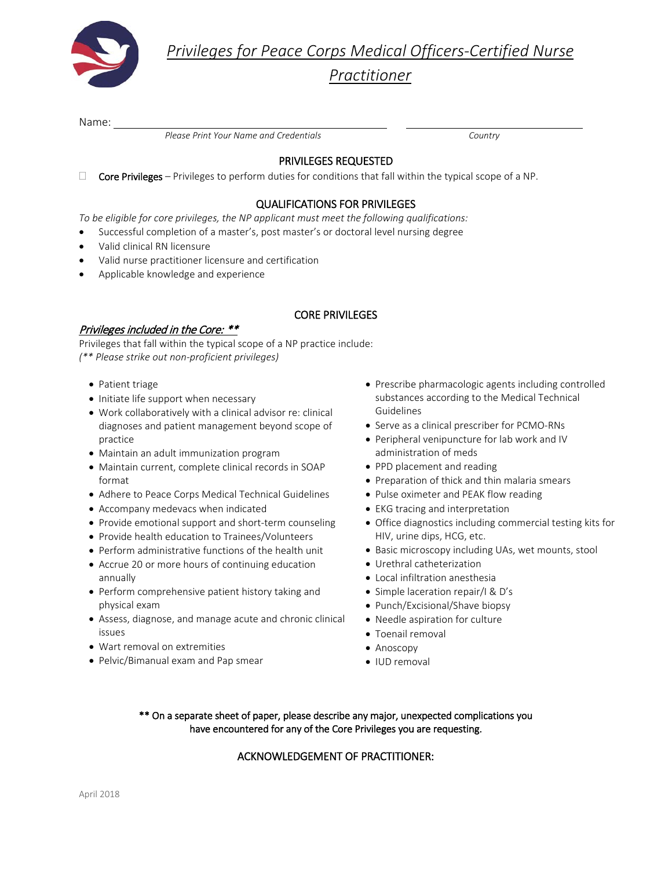

*Privileges for Peace Corps Medical Officers-Certified Nurse* 

*Practitioner*

Name:

 *Please Print Your Name and Credentials Country*

# PRIVILEGES REQUESTED

 $\Box$  Core Privileges – Privileges to perform duties for conditions that fall within the typical scope of a NP.

## QUALIFICATIONS FOR PRIVILEGES

*To be eligible for core privileges, the NP applicant must meet the following qualifications:*

- Successful completion of a master's, post master's or doctoral level nursing degree
- Valid clinical RN licensure
- Valid nurse practitioner licensure and certification
- Applicable knowledge and experience

## CORE PRIVILEGES

## Privileges included in the Core: \*\*

Privileges that fall within the typical scope of a NP practice include: *(\*\* Please strike out non-proficient privileges)*

- Patient triage
- Initiate life support when necessary
- Work collaboratively with a clinical advisor re: clinical diagnoses and patient management beyond scope of practice
- Maintain an adult immunization program
- Maintain current, complete clinical records in SOAP format
- Adhere to Peace Corps Medical Technical Guidelines
- Accompany medevacs when indicated
- Provide emotional support and short-term counseling
- Provide health education to Trainees/Volunteers
- Perform administrative functions of the health unit
- Accrue 20 or more hours of continuing education annually
- Perform comprehensive patient history taking and physical exam
- Assess, diagnose, and manage acute and chronic clinical issues
- Wart removal on extremities
- Pelvic/Bimanual exam and Pap smear
- Prescribe pharmacologic agents including controlled substances according to the Medical Technical Guidelines
- Serve as a clinical prescriber for PCMO-RNs
- Peripheral venipuncture for lab work and IV administration of meds
- PPD placement and reading
- Preparation of thick and thin malaria smears
- Pulse oximeter and PEAK flow reading
- EKG tracing and interpretation
- Office diagnostics including commercial testing kits for HIV, urine dips, HCG, etc.
- Basic microscopy including UAs, wet mounts, stool
- Urethral catheterization
- Local infiltration anesthesia
- Simple laceration repair/I & D's
- Punch/Excisional/Shave biopsy
- Needle aspiration for culture
- Toenail removal
- Anoscopy
- IUD removal

#### \*\* On a separate sheet of paper, please describe any major, unexpected complications you have encountered for any of the Core Privileges you are requesting.

#### ACKNOWLEDGEMENT OF PRACTITIONER: